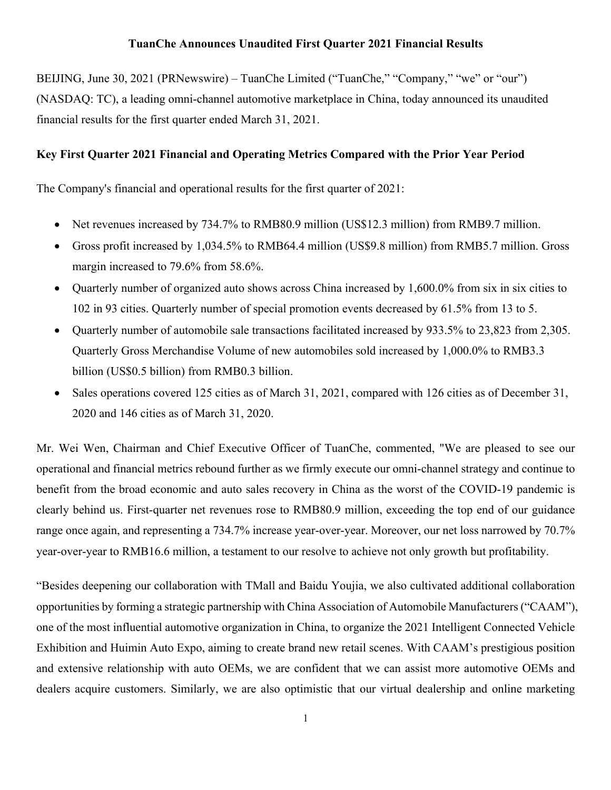## **TuanChe Announces Unaudited First Quarter 2021 Financial Results**

BEIJING, June 30, 2021 (PRNewswire) – TuanChe Limited ("TuanChe," "Company," "we" or "our") (NASDAQ: TC), a leading omni-channel automotive marketplace in China, today announced its unaudited financial results for the first quarter ended March 31, 2021.

## **Key First Quarter 2021 Financial and Operating Metrics Compared with the Prior Year Period**

The Company's financial and operational results for the first quarter of 2021:

- Net revenues increased by 734.7% to RMB80.9 million (US\$12.3 million) from RMB9.7 million.
- Gross profit increased by 1,034.5% to RMB64.4 million (US\$9.8 million) from RMB5.7 million. Gross margin increased to 79.6% from 58.6%.
- Quarterly number of organized auto shows across China increased by 1,600.0% from six in six cities to 102 in 93 cities. Quarterly number of special promotion events decreased by 61.5% from 13 to 5.
- Ouarterly number of automobile sale transactions facilitated increased by 933.5% to 23,823 from 2,305. Quarterly Gross Merchandise Volume of new automobiles sold increased by 1,000.0% to RMB3.3 billion (US\$0.5 billion) from RMB0.3 billion.
- Sales operations covered 125 cities as of March 31, 2021, compared with 126 cities as of December 31, 2020 and 146 cities as of March 31, 2020.

Mr. Wei Wen, Chairman and Chief Executive Officer of TuanChe, commented, "We are pleased to see our operational and financial metrics rebound further as we firmly execute our omni-channel strategy and continue to benefit from the broad economic and auto sales recovery in China as the worst of the COVID-19 pandemic is clearly behind us. First-quarter net revenues rose to RMB80.9 million, exceeding the top end of our guidance range once again, and representing a 734.7% increase year-over-year. Moreover, our net loss narrowed by 70.7% year-over-year to RMB16.6 million, a testament to our resolve to achieve not only growth but profitability.

"Besides deepening our collaboration with TMall and Baidu Youjia, we also cultivated additional collaboration opportunities by forming a strategic partnership with China Association of Automobile Manufacturers ("CAAM"), one of the most influential automotive organization in China, to organize the 2021 Intelligent Connected Vehicle Exhibition and Huimin Auto Expo, aiming to create brand new retail scenes. With CAAM's prestigious position and extensive relationship with auto OEMs, we are confident that we can assist more automotive OEMs and dealers acquire customers. Similarly, we are also optimistic that our virtual dealership and online marketing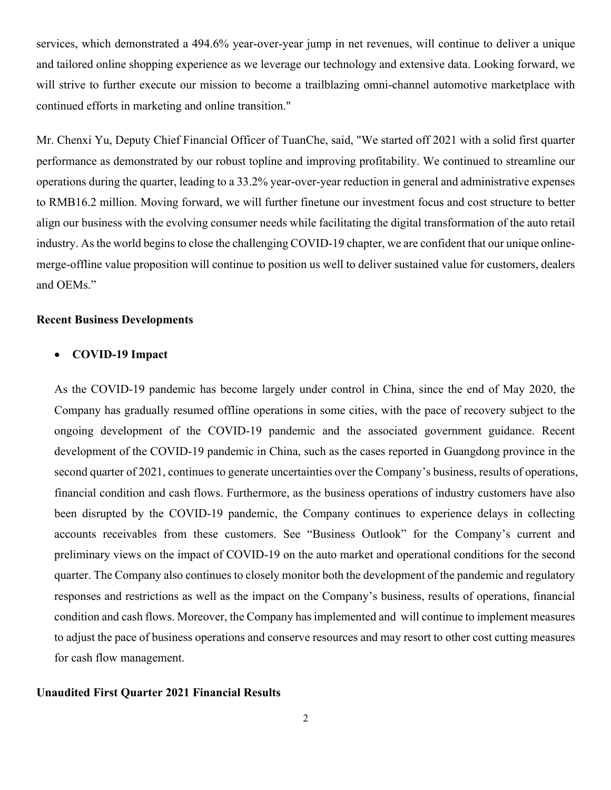services, which demonstrated a 494.6% year-over-year jump in net revenues, will continue to deliver a unique and tailored online shopping experience as we leverage our technology and extensive data. Looking forward, we will strive to further execute our mission to become a trailblazing omni-channel automotive marketplace with continued efforts in marketing and online transition."

Mr. Chenxi Yu, Deputy Chief Financial Officer of TuanChe, said, "We started off 2021 with a solid first quarter performance as demonstrated by our robust topline and improving profitability. We continued to streamline our operations during the quarter, leading to a 33.2% year-over-year reduction in general and administrative expenses to RMB16.2 million. Moving forward, we will further finetune our investment focus and cost structure to better align our business with the evolving consumer needs while facilitating the digital transformation of the auto retail industry. As the world begins to close the challenging COVID-19 chapter, we are confident that our unique onlinemerge-offline value proposition will continue to position us well to deliver sustained value for customers, dealers and OEMs."

### **Recent Business Developments**

### • **COVID-19 Impact**

As the COVID-19 pandemic has become largely under control in China, since the end of May 2020, the Company has gradually resumed offline operations in some cities, with the pace of recovery subject to the ongoing development of the COVID-19 pandemic and the associated government guidance. Recent development of the COVID-19 pandemic in China, such as the cases reported in Guangdong province in the second quarter of 2021, continues to generate uncertainties over the Company's business, results of operations, financial condition and cash flows. Furthermore, as the business operations of industry customers have also been disrupted by the COVID-19 pandemic, the Company continues to experience delays in collecting accounts receivables from these customers. See "Business Outlook" for the Company's current and preliminary views on the impact of COVID-19 on the auto market and operational conditions for the second quarter. The Company also continues to closely monitor both the development of the pandemic and regulatory responses and restrictions as well as the impact on the Company's business, results of operations, financial condition and cash flows. Moreover, the Company has implemented and will continue to implement measures to adjust the pace of business operations and conserve resources and may resort to other cost cutting measures for cash flow management.

### **Unaudited First Quarter 2021 Financial Results**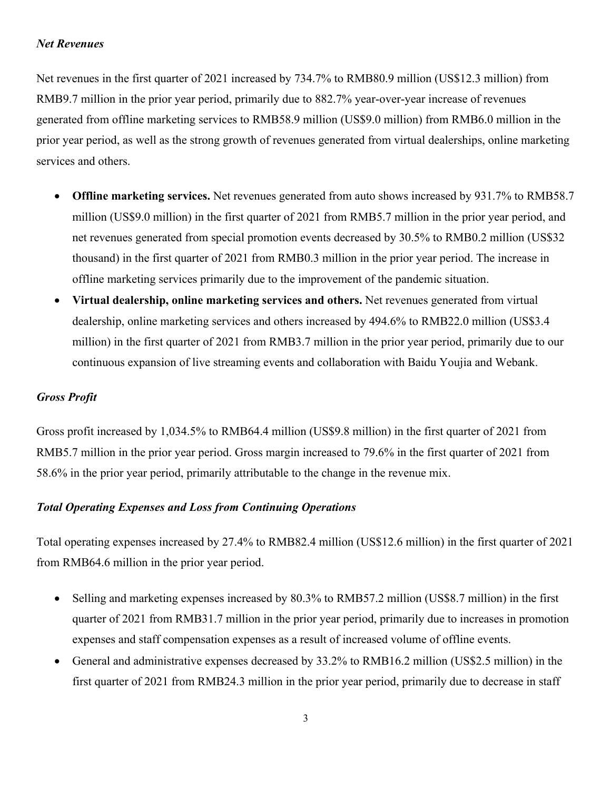## *Net Revenues*

Net revenues in the first quarter of 2021 increased by 734.7% to RMB80.9 million (US\$12.3 million) from RMB9.7 million in the prior year period, primarily due to 882.7% year-over-year increase of revenues generated from offline marketing services to RMB58.9 million (US\$9.0 million) from RMB6.0 million in the prior year period, as well as the strong growth of revenues generated from virtual dealerships, online marketing services and others.

- **Offline marketing services.** Net revenues generated from auto shows increased by 931.7% to RMB58.7 million (US\$9.0 million) in the first quarter of 2021 from RMB5.7 million in the prior year period, and net revenues generated from special promotion events decreased by 30.5% to RMB0.2 million (US\$32 thousand) in the first quarter of 2021 from RMB0.3 million in the prior year period. The increase in offline marketing services primarily due to the improvement of the pandemic situation.
- **Virtual dealership, online marketing services and others.** Net revenues generated from virtual dealership, online marketing services and others increased by 494.6% to RMB22.0 million (US\$3.4 million) in the first quarter of 2021 from RMB3.7 million in the prior year period, primarily due to our continuous expansion of live streaming events and collaboration with Baidu Youjia and Webank.

## *Gross Profit*

Gross profit increased by 1,034.5% to RMB64.4 million (US\$9.8 million) in the first quarter of 2021 from RMB5.7 million in the prior year period. Gross margin increased to 79.6% in the first quarter of 2021 from 58.6% in the prior year period, primarily attributable to the change in the revenue mix.

## *Total Operating Expenses and Loss from Continuing Operations*

Total operating expenses increased by 27.4% to RMB82.4 million (US\$12.6 million) in the first quarter of 2021 from RMB64.6 million in the prior year period.

- Selling and marketing expenses increased by 80.3% to RMB57.2 million (US\$8.7 million) in the first quarter of 2021 from RMB31.7 million in the prior year period, primarily due to increases in promotion expenses and staff compensation expenses as a result of increased volume of offline events.
- General and administrative expenses decreased by 33.2% to RMB16.2 million (US\$2.5 million) in the first quarter of 2021 from RMB24.3 million in the prior year period, primarily due to decrease in staff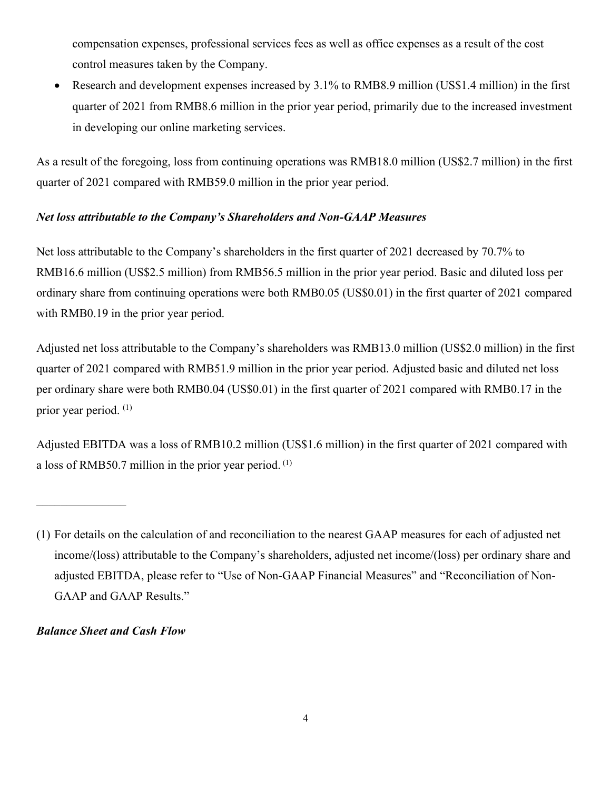compensation expenses, professional services fees as well as office expenses as a result of the cost control measures taken by the Company.

• Research and development expenses increased by 3.1% to RMB8.9 million (US\$1.4 million) in the first quarter of 2021 from RMB8.6 million in the prior year period, primarily due to the increased investment in developing our online marketing services.

As a result of the foregoing, loss from continuing operations was RMB18.0 million (US\$2.7 million) in the first quarter of 2021 compared with RMB59.0 million in the prior year period.

# *Net loss attributable to the Company's Shareholders and Non-GAAP Measures*

Net loss attributable to the Company's shareholders in the first quarter of 2021 decreased by 70.7% to RMB16.6 million (US\$2.5 million) from RMB56.5 million in the prior year period. Basic and diluted loss per ordinary share from continuing operations were both RMB0.05 (US\$0.01) in the first quarter of 2021 compared with RMB0.19 in the prior year period.

Adjusted net loss attributable to the Company's shareholders was RMB13.0 million (US\$2.0 million) in the first quarter of 2021 compared with RMB51.9 million in the prior year period. Adjusted basic and diluted net loss per ordinary share were both RMB0.04 (US\$0.01) in the first quarter of 2021 compared with RMB0.17 in the prior year period. (1)

Adjusted EBITDA was a loss of RMB10.2 million (US\$1.6 million) in the first quarter of 2021 compared with a loss of RMB50.7 million in the prior year period.  $(1)$ 

# *Balance Sheet and Cash Flow*

<sup>(1)</sup> For details on the calculation of and reconciliation to the nearest GAAP measures for each of adjusted net income/(loss) attributable to the Company's shareholders, adjusted net income/(loss) per ordinary share and adjusted EBITDA, please refer to "Use of Non-GAAP Financial Measures" and "Reconciliation of Non-GAAP and GAAP Results."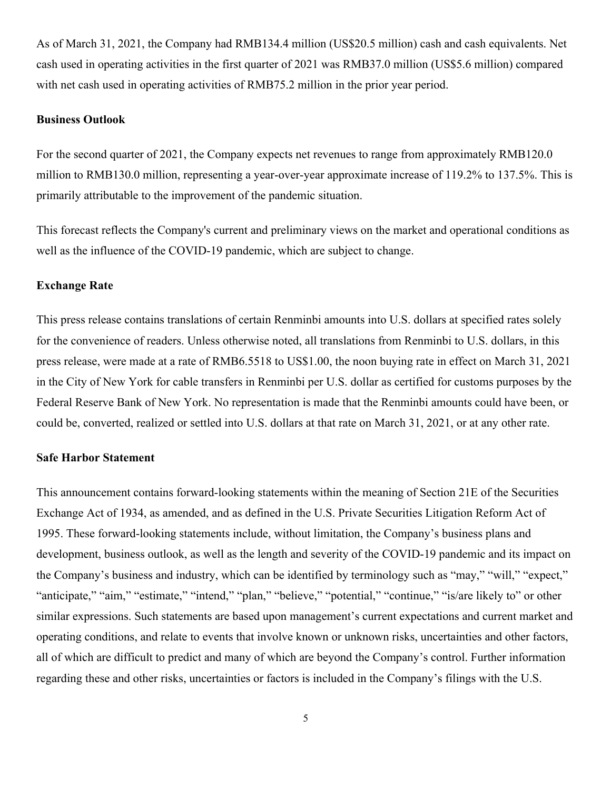As of March 31, 2021, the Company had RMB134.4 million (US\$20.5 million) cash and cash equivalents. Net cash used in operating activities in the first quarter of 2021 was RMB37.0 million (US\$5.6 million) compared with net cash used in operating activities of RMB75.2 million in the prior year period.

#### **Business Outlook**

For the second quarter of 2021, the Company expects net revenues to range from approximately RMB120.0 million to RMB130.0 million, representing a year-over-year approximate increase of 119.2% to 137.5%. This is primarily attributable to the improvement of the pandemic situation.

This forecast reflects the Company's current and preliminary views on the market and operational conditions as well as the influence of the COVID-19 pandemic, which are subject to change.

### **Exchange Rate**

This press release contains translations of certain Renminbi amounts into U.S. dollars at specified rates solely for the convenience of readers. Unless otherwise noted, all translations from Renminbi to U.S. dollars, in this press release, were made at a rate of RMB6.5518 to US\$1.00, the noon buying rate in effect on March 31, 2021 in the City of New York for cable transfers in Renminbi per U.S. dollar as certified for customs purposes by the Federal Reserve Bank of New York. No representation is made that the Renminbi amounts could have been, or could be, converted, realized or settled into U.S. dollars at that rate on March 31, 2021, or at any other rate.

#### **Safe Harbor Statement**

This announcement contains forward-looking statements within the meaning of Section 21E of the Securities Exchange Act of 1934, as amended, and as defined in the U.S. Private Securities Litigation Reform Act of 1995. These forward-looking statements include, without limitation, the Company's business plans and development, business outlook, as well as the length and severity of the COVID-19 pandemic and its impact on the Company's business and industry, which can be identified by terminology such as "may," "will," "expect," "anticipate," "aim," "estimate," "intend," "plan," "believe," "potential," "continue," "is/are likely to" or other similar expressions. Such statements are based upon management's current expectations and current market and operating conditions, and relate to events that involve known or unknown risks, uncertainties and other factors, all of which are difficult to predict and many of which are beyond the Company's control. Further information regarding these and other risks, uncertainties or factors is included in the Company's filings with the U.S.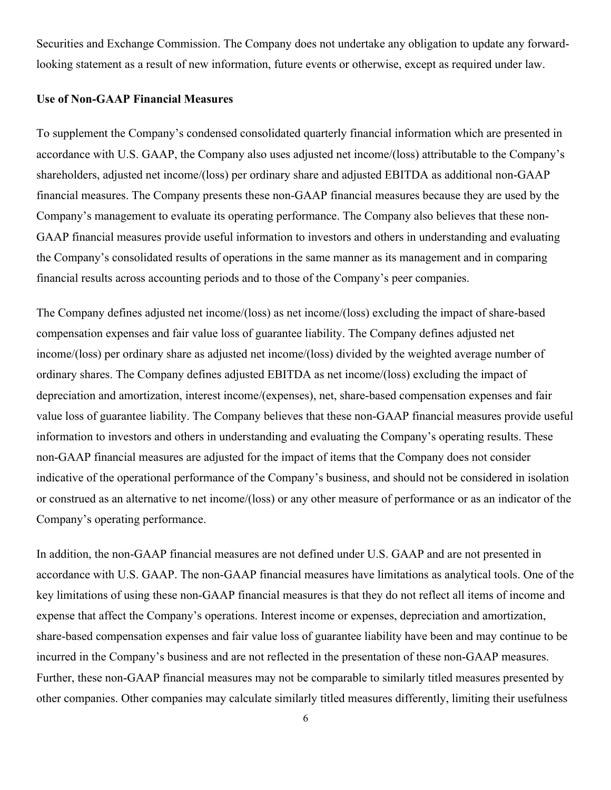Securities and Exchange Commission. The Company does not undertake any obligation to update any forwardlooking statement as a result of new information, future events or otherwise, except as required under law.

### **Use of Non-GAAP Financial Measures**

To supplement the Company's condensed consolidated quarterly financial information which are presented in accordance with U.S. GAAP, the Company also uses adjusted net income/(loss) attributable to the Company's shareholders, adjusted net income/(loss) per ordinary share and adjusted EBITDA as additional non-GAAP financial measures. The Company presents these non-GAAP financial measures because they are used by the Company's management to evaluate its operating performance. The Company also believes that these non-GAAP financial measures provide useful information to investors and others in understanding and evaluating the Company's consolidated results of operations in the same manner as its management and in comparing financial results across accounting periods and to those of the Company's peer companies.

The Company defines adjusted net income/(loss) as net income/(loss) excluding the impact of share-based compensation expenses and fair value loss of guarantee liability. The Company defines adjusted net income/(loss) per ordinary share as adjusted net income/(loss) divided by the weighted average number of ordinary shares. The Company defines adjusted EBITDA as net income/(loss) excluding the impact of depreciation and amortization, interest income/(expenses), net, share-based compensation expenses and fair value loss of guarantee liability. The Company believes that these non-GAAP financial measures provide useful information to investors and others in understanding and evaluating the Company's operating results. These non-GAAP financial measures are adjusted for the impact of items that the Company does not consider indicative of the operational performance of the Company's business, and should not be considered in isolation or construed as an alternative to net income/(loss) or any other measure of performance or as an indicator of the Company's operating performance.

In addition, the non-GAAP financial measures are not defined under U.S. GAAP and are not presented in accordance with U.S. GAAP. The non-GAAP financial measures have limitations as analytical tools. One of the key limitations of using these non-GAAP financial measures is that they do not reflect all items of income and expense that affect the Company's operations. Interest income or expenses, depreciation and amortization, share-based compensation expenses and fair value loss of guarantee liability have been and may continue to be incurred in the Company's business and are not reflected in the presentation of these non-GAAP measures. Further, these non-GAAP financial measures may not be comparable to similarly titled measures presented by other companies. Other companies may calculate similarly titled measures differently, limiting their usefulness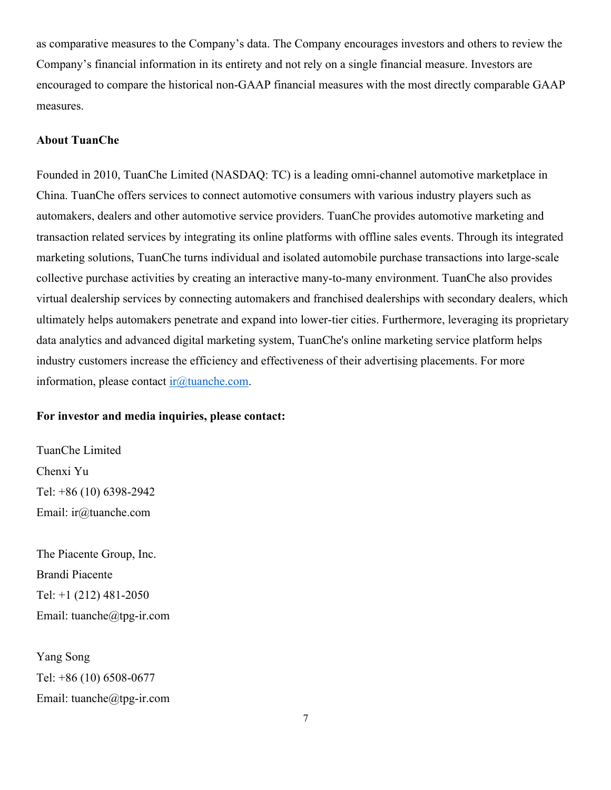as comparative measures to the Company's data. The Company encourages investors and others to review the Company's financial information in its entirety and not rely on a single financial measure. Investors are encouraged to compare the historical non-GAAP financial measures with the most directly comparable GAAP measures.

#### **About TuanChe**

Founded in 2010, TuanChe Limited (NASDAQ: TC) is a leading omni-channel automotive marketplace in China. TuanChe offers services to connect automotive consumers with various industry players such as automakers, dealers and other automotive service providers. TuanChe provides automotive marketing and transaction related services by integrating its online platforms with offline sales events. Through its integrated marketing solutions, TuanChe turns individual and isolated automobile purchase transactions into large-scale collective purchase activities by creating an interactive many-to-many environment. TuanChe also provides virtual dealership services by connecting automakers and franchised dealerships with secondary dealers, which ultimately helps automakers penetrate and expand into lower-tier cities. Furthermore, leveraging its proprietary data analytics and advanced digital marketing system, TuanChe's online marketing service platform helps industry customers increase the efficiency and effectiveness of their advertising placements. For more information, please contact ir $@$ tuanche.com.

#### **For investor and media inquiries, please contact:**

TuanChe Limited Chenxi Yu Tel: +86 (10) 6398-2942 Email: ir@tuanche.com

The Piacente Group, Inc. Brandi Piacente Tel: +1 (212) 481-2050 Email: tuanche@tpg-ir.com

Yang Song Tel: +86 (10) 6508-0677 Email: tuanche@tpg-ir.com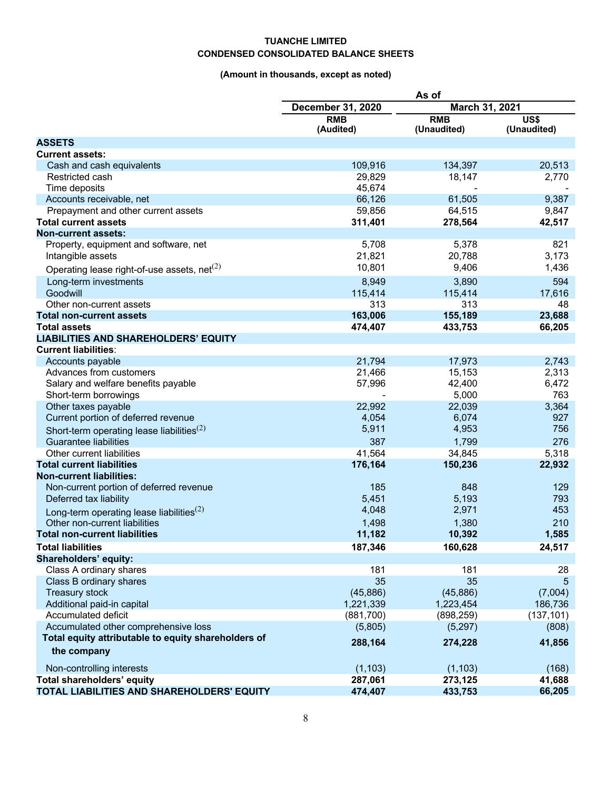#### **TUANCHE LIMITED CONDENSED CONSOLIDATED BALANCE SHEETS**

## **(Amount in thousands, except as noted)**

|                                                                   | As of                    |                           |                       |
|-------------------------------------------------------------------|--------------------------|---------------------------|-----------------------|
|                                                                   | <b>December 31, 2020</b> | March 31, 2021            |                       |
|                                                                   | <b>RMB</b><br>(Audited)  | <b>RMB</b><br>(Unaudited) | US\$<br>(Unaudited)   |
| <b>ASSETS</b>                                                     |                          |                           |                       |
| <b>Current assets:</b>                                            |                          |                           |                       |
| Cash and cash equivalents                                         | 109,916                  | 134,397                   | 20,513                |
| Restricted cash                                                   | 29,829                   | 18,147                    | 2,770                 |
| Time deposits                                                     | 45,674                   |                           |                       |
| Accounts receivable, net                                          | 66,126                   | 61,505                    | 9,387                 |
| Prepayment and other current assets                               | 59,856                   | 64,515                    | 9,847                 |
| <b>Total current assets</b>                                       | 311,401                  | 278,564                   | 42,517                |
| <b>Non-current assets:</b>                                        |                          |                           |                       |
| Property, equipment and software, net                             | 5,708                    | 5,378                     | 821                   |
| Intangible assets                                                 | 21,821                   | 20,788                    | 3,173                 |
| Operating lease right-of-use assets, $net(2)$                     | 10,801                   | 9,406                     | 1,436                 |
| Long-term investments                                             | 8,949                    | 3,890                     | 594                   |
| Goodwill                                                          | 115,414                  | 115,414                   | 17,616                |
| Other non-current assets                                          | 313                      | 313                       | 48                    |
| <b>Total non-current assets</b>                                   | 163,006                  | 155,189                   | 23,688                |
| <b>Total assets</b>                                               | 474,407                  | 433,753                   | 66,205                |
| <b>LIABILITIES AND SHAREHOLDERS' EQUITY</b>                       |                          |                           |                       |
| <b>Current liabilities:</b>                                       |                          |                           |                       |
| Accounts payable                                                  | 21,794                   | 17,973                    | 2,743                 |
| Advances from customers                                           | 21,466                   | 15,153                    | 2,313                 |
| Salary and welfare benefits payable                               | 57,996                   | 42,400                    | 6,472                 |
| Short-term borrowings                                             |                          | 5,000                     | 763                   |
| Other taxes payable                                               | 22,992                   | 22,039                    | 3,364                 |
| Current portion of deferred revenue                               | 4,054                    | 6,074                     | 927                   |
| Short-term operating lease liabilities <sup>(2)</sup>             | 5,911                    | 4,953                     | 756                   |
| <b>Guarantee liabilities</b>                                      | 387                      | 1,799                     | 276                   |
| Other current liabilities                                         | 41,564                   | 34,845                    | 5,318                 |
| <b>Total current liabilities</b>                                  | 176,164                  | 150,236                   | 22,932                |
| <b>Non-current liabilities:</b>                                   |                          |                           |                       |
| Non-current portion of deferred revenue                           | 185                      | 848                       | 129                   |
| Deferred tax liability                                            | 5,451                    | 5,193                     | 793                   |
| Long-term operating lease liabilities <sup><math>(2)</math></sup> | 4,048                    | 2,971                     | 453                   |
| Other non-current liabilities                                     | 1,498                    | 1,380                     | 210                   |
| <b>Total non-current liabilities</b>                              | 11,182                   | 10,392                    | 1,585                 |
|                                                                   |                          |                           |                       |
| <b>Total liabilities</b>                                          | 187,346                  | 160,628                   | 24,517                |
| <b>Shareholders' equity:</b>                                      | 181                      | 181                       | 28                    |
| Class A ordinary shares<br>Class B ordinary shares                | 35                       | 35                        | 5                     |
|                                                                   | (45, 886)                | (45, 886)                 |                       |
| <b>Treasury stock</b><br>Additional paid-in capital               | 1,221,339                | 1,223,454                 | (7,004)               |
| Accumulated deficit                                               | (881,700)                | (898, 259)                | 186,736<br>(137, 101) |
| Accumulated other comprehensive loss                              | (5,805)                  | (5,297)                   | (808)                 |
| Total equity attributable to equity shareholders of               |                          |                           |                       |
|                                                                   | 288,164                  | 274,228                   | 41,856                |
| the company                                                       |                          |                           |                       |
| Non-controlling interests                                         | (1, 103)                 | (1, 103)                  | (168)                 |
| Total shareholders' equity                                        | 287,061                  | 273,125                   | 41,688                |
| TOTAL LIABILITIES AND SHAREHOLDERS' EQUITY                        | 474,407                  | 433,753                   | 66,205                |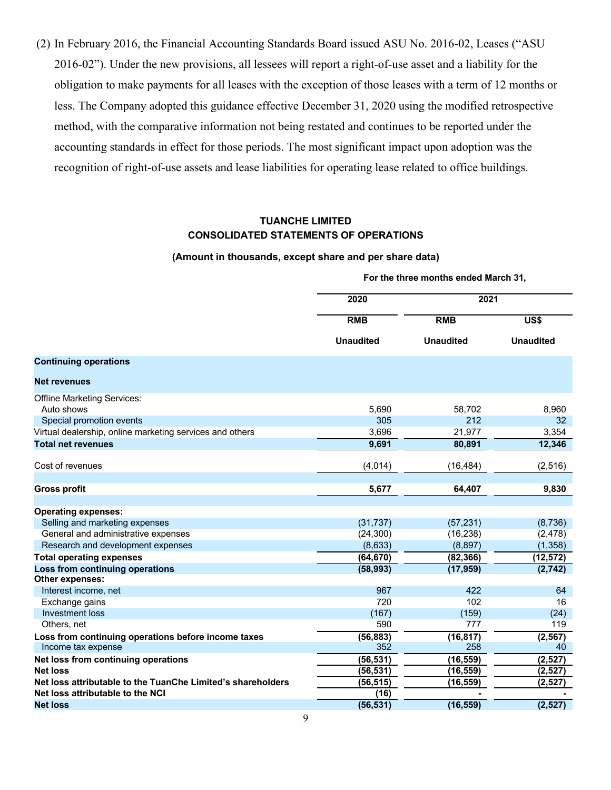(2) In February 2016, the Financial Accounting Standards Board issued ASU No. 2016-02, Leases ("ASU 2016-02"). Under the new provisions, all lessees will report a right-of-use asset and a liability for the obligation to make payments for all leases with the exception of those leases with a term of 12 months or less. The Company adopted this guidance effective December 31, 2020 using the modified retrospective method, with the comparative information not being restated and continues to be reported under the accounting standards in effect for those periods. The most significant impact upon adoption was the recognition of right-of-use assets and lease liabilities for operating lease related to office buildings.

#### **TUANCHE LIMITED CONSOLIDATED STATEMENTS OF OPERATIONS**

#### **(Amount in thousands, except share and per share data)**

**For the three months ended March 31,**

|                                                             | 2020                           | 2021                           |                                      |
|-------------------------------------------------------------|--------------------------------|--------------------------------|--------------------------------------|
|                                                             | <b>RMB</b><br><b>Unaudited</b> | <b>RMB</b><br><b>Unaudited</b> | $\overline{USS}$<br><b>Unaudited</b> |
|                                                             |                                |                                |                                      |
| <b>Continuing operations</b>                                |                                |                                |                                      |
| <b>Net revenues</b>                                         |                                |                                |                                      |
| <b>Offline Marketing Services:</b>                          |                                |                                |                                      |
| Auto shows                                                  | 5,690                          | 58,702                         | 8,960                                |
| Special promotion events                                    | 305                            | 212                            | 32                                   |
| Virtual dealership, online marketing services and others    | 3,696                          | 21,977                         | 3,354                                |
| <b>Total net revenues</b>                                   | 9,691                          | 80,891                         | 12,346                               |
| Cost of revenues                                            | (4,014)                        | (16, 484)                      | (2, 516)                             |
|                                                             |                                |                                |                                      |
| <b>Gross profit</b>                                         | 5,677                          | 64,407                         | 9,830                                |
| <b>Operating expenses:</b>                                  |                                |                                |                                      |
| Selling and marketing expenses                              | (31, 737)                      | (57, 231)                      | (8,736)                              |
| General and administrative expenses                         | (24, 300)                      | (16, 238)                      | (2, 478)                             |
| Research and development expenses                           | (8,633)                        | (8,897)                        | (1, 358)                             |
| <b>Total operating expenses</b>                             | (64, 670)                      | (82, 366)                      | (12, 572)                            |
| Loss from continuing operations                             | (58, 993)                      | (17, 959)                      | (2, 742)                             |
| Other expenses:                                             |                                |                                |                                      |
| Interest income, net                                        | 967                            | 422                            | 64                                   |
| Exchange gains                                              | 720                            | 102                            | 16                                   |
| Investment loss                                             | (167)                          | (159)                          | (24)                                 |
| Others, net                                                 | 590                            | 777                            | 119                                  |
| Loss from continuing operations before income taxes         | (56, 883)                      | (16, 817)                      | (2, 567)                             |
| Income tax expense                                          | 352                            | 258                            | 40                                   |
| Net loss from continuing operations                         | (56, 531)                      | (16, 559)                      | (2,527)                              |
| <b>Net loss</b>                                             | (56, 531)                      | (16, 559)                      | (2,527)                              |
| Net loss attributable to the TuanChe Limited's shareholders | (56, 515)                      | (16, 559)                      | (2, 527)                             |
| Net loss attributable to the NCI                            | (16)                           |                                |                                      |
| <b>Net loss</b>                                             | (56, 531)                      | (16, 559)                      | (2, 527)                             |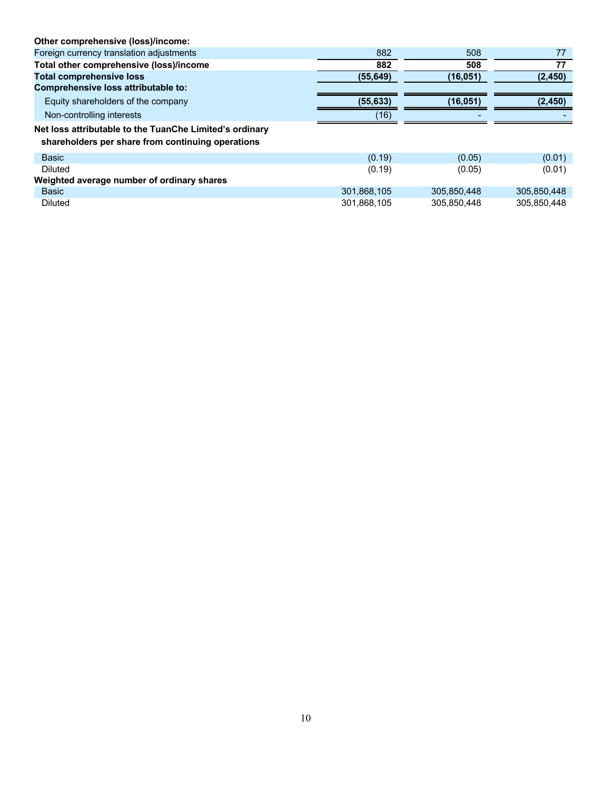| Other comprehensive (loss)/income:                                                                           |             |             |             |
|--------------------------------------------------------------------------------------------------------------|-------------|-------------|-------------|
| Foreign currency translation adjustments                                                                     | 882         | 508         | 77          |
| Total other comprehensive (loss)/income                                                                      | 882         | 508         | 77          |
| <b>Total comprehensive loss</b>                                                                              | (55, 649)   | (16,051)    | (2, 450)    |
| Comprehensive loss attributable to:                                                                          |             |             |             |
| Equity shareholders of the company                                                                           | (55, 633)   | (16,051)    | (2, 450)    |
| Non-controlling interests                                                                                    | (16)        |             |             |
| Net loss attributable to the TuanChe Limited's ordinary<br>shareholders per share from continuing operations |             |             |             |
| <b>Basic</b>                                                                                                 | (0.19)      | (0.05)      | (0.01)      |
| <b>Diluted</b>                                                                                               | (0.19)      | (0.05)      | (0.01)      |
| Weighted average number of ordinary shares                                                                   |             |             |             |
| <b>Basic</b>                                                                                                 | 301,868,105 | 305.850.448 | 305,850,448 |
| <b>Diluted</b>                                                                                               | 301,868,105 | 305.850.448 | 305.850.448 |